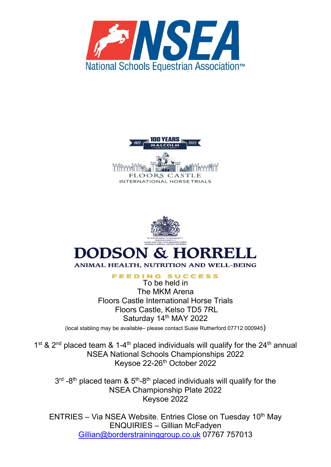





**FEEDING SUCCESS** 

To be held in The MKM Arena Floors Castle International Horse Trials Floors Castle, Kelso TD5 7RL Saturday 14th MAY 2022

(local stabling may be available– please contact Susie Rutherford 07712 000945)

1<sup>st</sup> & 2<sup>nd</sup> placed team & 1-4<sup>th</sup> placed individuals will qualify for the 24<sup>th</sup> annual NSEA National Schools Championships 2022 Keysoe 22-26<sup>th</sup> October 2022

 $3<sup>rd</sup>$  -8<sup>th</sup> placed team &  $5<sup>th</sup>$ -8<sup>th</sup> placed individuals will qualify for the NSEA Championship Plate 2022 Keysoe 2022

ENTRIES – Via NSEA Website. Entries Close on Tuesday 10<sup>th</sup> May ENQUIRIES – Gillian McFadyen [Gillian@borderstraininggroup.co.uk](mailto:Gillian@borderstraininggroup.co.uk) 07767 757013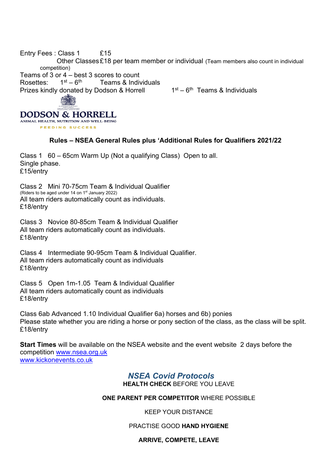Entry Fees : Class 1 £15 Other Classes £18 per team member or individual (Team members also count in individual competition) Teams of 3 or 4 – best 3 scores to count<br>Rosettes:  $1^{st} - 6^{th}$  Teams & Indiv Rosettes:  $1^{st} - 6^{th}$  Teams & Individuals Prizes kindly donated by Dodson & Horrell  $1st - 6th$  Teams & Individuals **DODSON & HORRELL** 

# **Rules – NSEA General Rules plus 'Additional Rules for Qualifiers 2021/22**

Class 1 60 – 65cm Warm Up (Not a qualifying Class) Open to all. Single phase. £15/entry

Class 2 Mini 70-75cm Team & Individual Qualifier (Riders to be aged under 14 on 1st January 2022) All team riders automatically count as individuals. £18/entry

ANIMAL HEALTH, NUTRITION AND WELL-BEING **EFFDING SUCCESS** 

Class 3 Novice 80-85cm Team & Individual Qualifier All team riders automatically count as individuals. £18/entry

Class 4 Intermediate 90-95cm Team & Individual Qualifier. All team riders automatically count as individuals £18/entry

Class 5 Open 1m-1.05 Team & Individual Qualifier All team riders automatically count as individuals £18/entry

Class 6ab Advanced 1.10 Individual Qualifier 6a) horses and 6b) ponies Please state whether you are riding a horse or pony section of the class, as the class will be split. £18/entry

**Start Times** will be available on the NSEA website and the event website 2 days before the competition [www.nsea.org.uk](http://www.nsea.org.uk/) [www.kickonevents.co.uk](http://www.kickonevents.co.uk/)

# *NSEA Covid Protocols*

**HEALTH CHECK** BEFORE YOU LEAVE

# **ONE PARENT PER COMPETITOR** WHERE POSSIBLE

KEEP YOUR DISTANCE

# PRACTISE GOOD **HAND HYGIENE**

#### **ARRIVE, COMPETE, LEAVE**